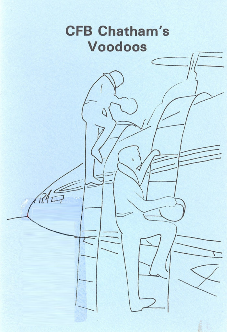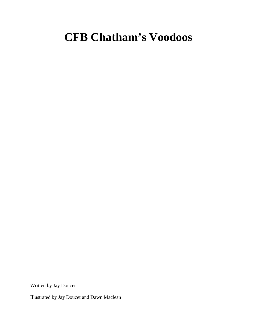## **CFB Chatham's Voodoos**

Written by Jay Doucet

Illustrated by Jay Doucet and Dawn Maclean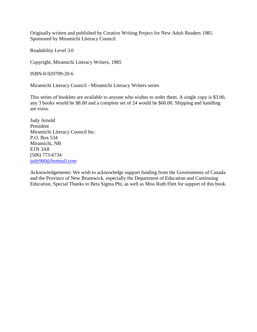Originally written and published by Creative Writing Project for New Adult Readers 1981. Sponsored by Miramichi Literacy Council.

Readability Level 3.0

Copyright, Miramichi Literacy Writers, 1985

ISBN-0-920709-20-6

Miramichi Literacy Council - Miramichi Literacy Writers series

This series of booklets are available to anyone who wishes to order them. A single copy is \$3.00, any 3 books would be \$8.00 and a complete set of 24 would be \$60.00. Shipping and handling are extra.

Judy Arnold President Miramichi Literacy Council Inc. P.O. Box 534 Miramichi, NB E1N 3A8 (506) 773-6734 [judy960@hotmail.com](mailto:judy960@hotmail.com)

Acknowledgements: We wish to acknowledge support funding from the Governments of Canada and the Province of New Brunswick, especially the Department of Education and Continuing Education. Special Thanks to Beta Sigma Phi, as well as Miss Ruth Flett for support of this book.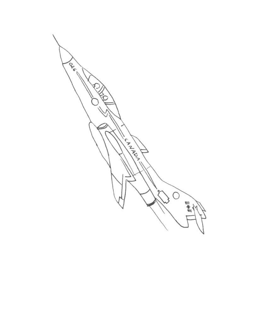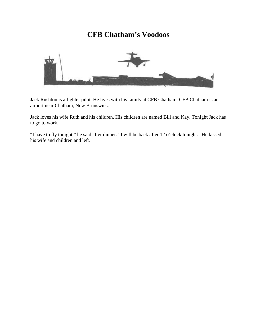## **CFB Chatham's Voodoos**



Jack Rushton is a fighter pilot. He lives with his family at CFB Chatham. CFB Chatham is an airport near Chatham, New Brunswick.

Jack loves his wife Ruth and his children. His children are named Bill and Kay. Tonight Jack has to go to work.

"I have to fly tonight," he said after dinner. "I will be back after 12 o'clock tonight." He kissed his wife and children and left.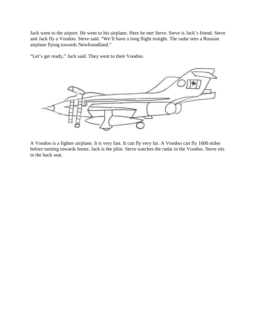Jack went to the airport. He went to his airplane. Here he met Steve. Steve is Jack's friend. Steve and Jack fly a Voodoo. Steve said. "We'll have a long flight tonight. The radar sees a Russian airplane flying towards Newfoundland."

"Let's get ready," Jack said. They went to their Voodoo.



A Voodoo is a fighter airplane. It is very fast. It can fly very far. A Voodoo can fly 1600 miles before turning towards home. Jack is the pilot. Steve watches the radar in the Voodoo. Steve sits in the back seat.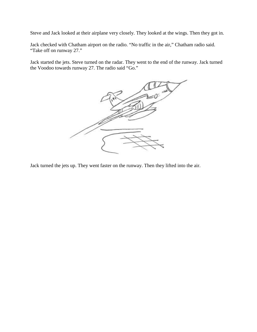Steve and Jack looked at their airplane very closely. They looked at the wings. Then they got in.

Jack checked with Chatham airport on the radio. "No traffic in the air," Chatham radio said. "Take off on runway 27."

Jack started the jets. Steve turned on the radar. They went to the end of the runway. Jack turned the Voodoo towards runway 27. The radio said "Go."



Jack turned the jets up. They went faster on the runway. Then they lifted into the air.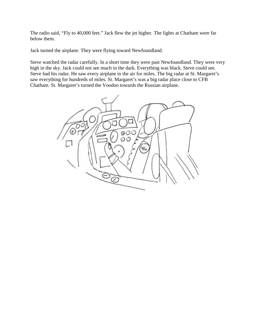The radio said, "Fly to 40,000 feet." Jack flew the jet higher. The lights at Chatham were far below them.

Jack turned the airplane. They were flying toward Newfoundland.

Steve watched the radar carefully. In a short time they were past Newfoundland. They were very high in the sky. Jack could not see much in the dark. Everything was black. Steve could see. Steve had his radar. He saw every airplane in the air for miles. The big radar at St. Margaret's saw everything for hundreds of miles. St. Margaret's was a big radar place close to CFB Chatham. St. Margaret's turned the Voodoo towards the Russian airplane.

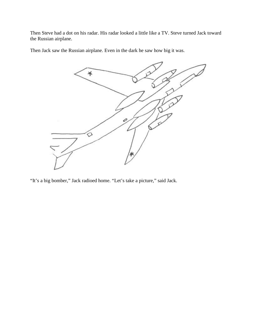Then Steve had a dot on his radar. His radar looked a little like a TV. Steve turned Jack toward the Russian airplane.

Then Jack saw the Russian airplane. Even in the dark he saw how big it was.



"It's a big bomber," Jack radioed home. "Let's take a picture," said Jack.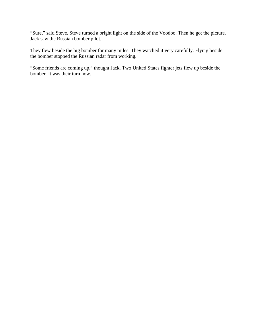"Sure," said Steve. Steve turned a bright light on the side of the Voodoo. Then he got the picture. Jack saw the Russian bomber pilot.

They flew beside the big bomber for many miles. They watched it very carefully. Flying beside the bomber stopped the Russian radar from working.

"Some friends are coming up," thought Jack. Two United States fighter jets flew up beside the bomber. It was their turn now.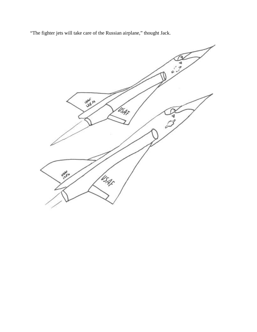"The fighter jets will take care of the Russian airplane," thought Jack.

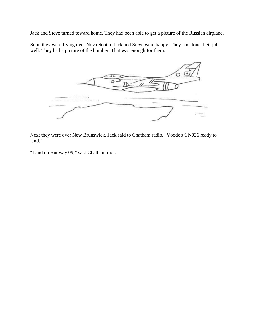Jack and Steve turned toward home. They had been able to get a picture of the Russian airplane.

Soon they were flying over Nova Scotia. Jack and Steve were happy. They had done their job well. They had a picture of the bomber. That was enough for them.



Next they were over New Brunswick. Jack said to Chatham radio, "Voodoo GN026 ready to land."

"Land on Runway 09," said Chatham radio.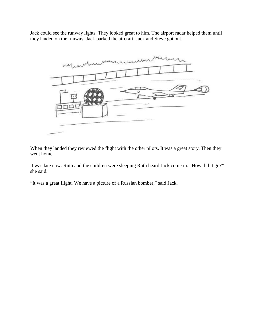Jack could see the runway lights. They looked great to him. The airport radar helped them until they landed on the runway. Jack parked the aircraft. Jack and Steve got out.



When they landed they reviewed the flight with the other pilots. It was a great story. Then they went home.

It was late now. Ruth and the children were sleeping Ruth heard Jack come in. "How did it go?" she said.

"It was a great flight. We have a picture of a Russian bomber," said Jack.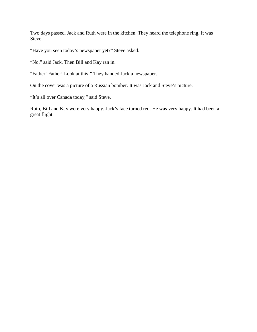Two days passed. Jack and Ruth were in the kitchen. They heard the telephone ring. It was Steve.

"Have you seen today's newspaper yet?" Steve asked.

"No," said Jack. Then Bill and Kay ran in.

"Father! Father! Look at this!" They handed Jack a newspaper.

On the cover was a picture of a Russian bomber. It was Jack and Steve's picture.

"It's all over Canada today," said Steve.

Ruth, Bill and Kay were very happy. Jack's face turned red. He was very happy. It had been a great flight.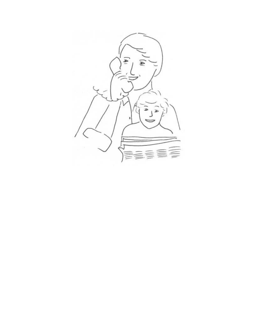